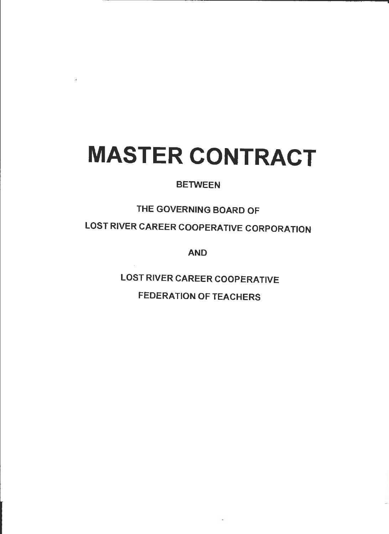# **MASTER CONTRACT**

## **BETWEEN**

## THE GOVERNING BOARD OF

LOST RIVER CAREER COOPERATIVE CORPORATION

**AND** 

LOST RIVER CAREER COOPERATIVE

FEDERATION OF TEACHERS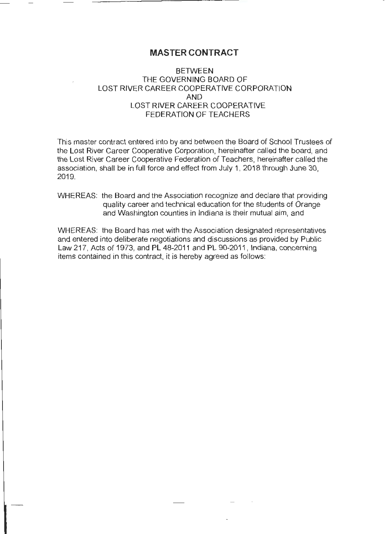## **MASTER CONTRACT**

#### **BETWEEN** THE GOVERNING BOARD OF LOST RIVER CAREER COOPERATIVE CORPORATION AND LOST RIVER CAREER COOPERATIVE FEDERATION OF TEACHERS

This master contract entered into by and between the Board of School Trustees of the Lost River Career Cooperative Corporation, hereinafter called the board, and the Lost River Career Cooperative Federation of Teachers, hereinafter called the association, shall be in full force and effect from July 1, 2018 through June 30, 2019.

#### WHEREAS: the Board and the Association recognize and declare that providing quality career and technical education for the students of Orange and Washington counties in Indiana is their mutual aim, and

WHEREAS: the Board has met with the Association designated representatives and entered into deliberate negotiations and discussions as provided by Public Law 217, Acts of 1973, and PL 48-2011 and PL 90-2011 , Indiana, concerning items contained in this contract, it is hereby agreed as follows: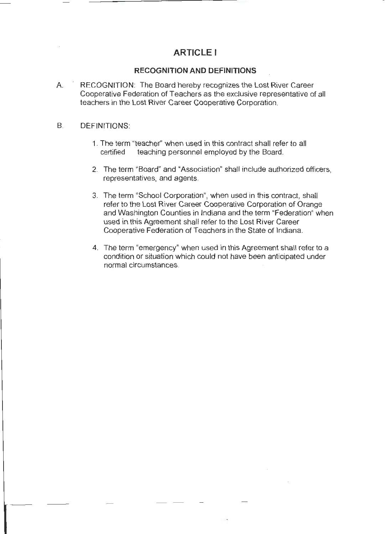## **ARTICLE I**

#### **RECOGNITION AND DEFINITIONS**

A. RECOGNITION: The Board hereby recognizes the Lost River Career Cooperative Federation of Teachers as the exclusive representative of all teachers in the Lost River Career Cooperative Corporation.

#### B. **DEFINITIONS:**

- 1. The term "teacher'' when used in this contract shall refer to all certified teaching personnel employed by the Board.
- 2. The term "Board" and "Association" shall include authorized officers, representatives, and agents.
- 3. The term "School Corporation", when used in this contract, shall refer to the Lost River Career Cooperative Corporation of Orange and Washington Counties in Indiana and the term "Federation" when used in this Agreement shall refer to the Lost River Career Cooperative Federation of Teachers in the State of Indiana.
- 4. The term "emergency" when used in this Agreement shall refer to a condition or situation which could not have been anticipated under normal circumstances.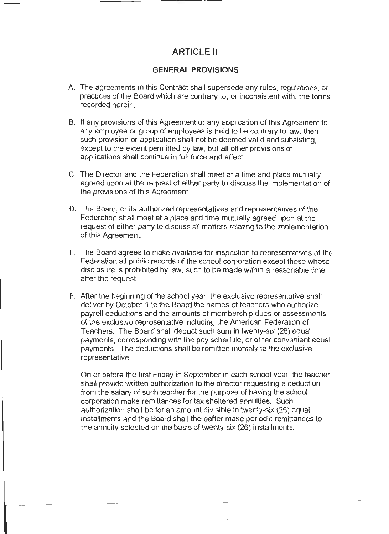## **ARTICLE II**

#### **GENERAL PROVISIONS**

- . A. The agreements in this Contract shall supersede any rules, regulations, or practices of the Board which are contrary to, or inconsistent with, the terms recorded herein.
- B. If any provisions of this Agreement or any application of this Agreement to any employee or group of employees is held to be contrary to law, then such provision or application shall not be deemed valid and subsisting, except to the extent permitted by law, but all other provisions or applications shall continue in full force and effect.
- C. The Director and the Federation shall meet at a time and place mutually agreed upon at the request of either party to discuss the implementation of the provisions of this Agreement.
- D. The Board, or its authorized representatives and representatives of the Federation shall meet at a place and time mutually agreed upon at the request of either party to discuss all matters relating to the implementation of this Agreement.
- E. The Board agrees to make available for inspection to representatives of the Federation all public records of the school corporation except those whose disclosure is prohibited by law, such to be made within a reasonable time after the request.
- F. After the beginning of the school year, the exclusive representative shall deliver by October 1 to the Board the names of teachers who authorize payroll deductions and the amounts of membership dues or assessments of the exclusive representative including the American Federation of Teachers. The Board shall deduct such sum in twenty-six (26) equal payments, corresponding with the pay schedule, or other convenient equal payments. The deductions shall be remitted monthly to the exclusive representative.

On or before the first Friday in September in each school year, the teacher shall provide written authorization to the director requesting a deduction from the salary of such teacher for the purpose of having the school corporation make remittances for tax sheltered annuities. Such authorization shall be for an amount divisible in twenty-six (26) equal installments and the Board shall thereafter make periodic remittances to the annuity selected on the basis of twenty-six (26) installments.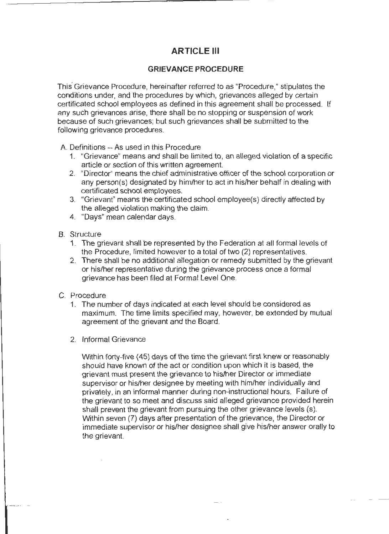## **ARTICLE** Ill

#### **GRIEVANCE PROCEDURE**

This· Grievance Procedure, hereinafter referred to as "Procedure," stipulates the conditions under, and the procedures by which, grievances alleged by certain certificated school employees as defined in this agreement shall be processed. If any such grievances arise, there shall be no stopping or suspension of work because of such grievances; but such grievances shall be submitted to the following grievance procedures.

A. Definitions - As used in this Procedure

- 1. "Grievance" means and shall be limited to, an alleged violation of a specific article or section of this written agreement.
- 2. "Director" means the chief administrative officer of the school corporation or any person(s) designated by him/her to act in his/her behalf in dealing with certificated school employees.
- 3. "Grievant" means the certificated school employee(s) directly affected by the alleged violation making the claim.
- 4. "Days" mean calendar days.
- B. Structure
	- 1. The grievant shall be represented by the Federation at all formal levels of the Procedure, limited however to a total of two (2) representatives.
	- 2. There shall be no additional allegation or remedy submitted by the grievant or his/her representative during the grievance process once a formal grievance has been filed at Formal Level One.
- C. Procedure
	- 1. The number of days indicated at each level should be considered as maximum. The time limits specified may, however, be extended by mutual agreement of the grievant and the Board.
	- 2. Informal Grievance

Within forty-five (45) days of the time the grievant first knew or reasonably should have known of the act or condition upon which it is based, the grievant must present the grievance to his/her Director or immediate supervisor or his/her designee by meeting with him/her individually and privately, in an informal manner during non-instructional hours. Failure of the grievant to so meet and discuss said alleged grievance provided herein shall prevent the grievant from pursuing the other grievance levels (s). Within seven (7) days after presentation of the grievance, the Director or immediate supervisor or his/her designee shall give his/her answer orally to the grievant.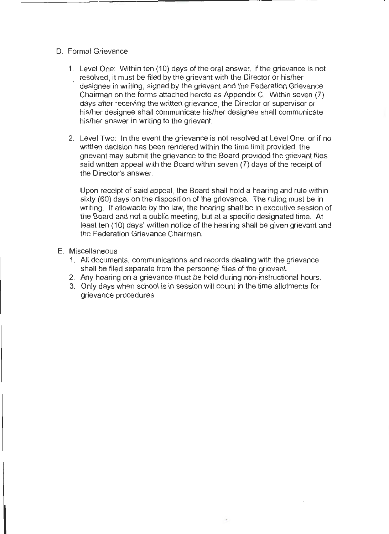- D. Formal Grievance
	- 1. Level One: Within ten ( 10) days of the oral answer, if the grievance is not resolved, it must be filed by the grievant with the Director or his/her designee in writing, signed by the grievant and the Federation Grievance Chairman on the forms attached hereto as Appendix C. Within seven (7) days after receiving the written grievance, the Director or supervisor or his/her designee shall communicate his/her designee shall communicate his/her answer in writing to the grievant.
	- 2. Level Two: In the event the grievance is not resolved at Level One, or if no written decision has been rendered within the time limit provided, the grievant may submit the grievance to the Board provided the grievant files said written appeal with the Board within seven (7) days of the receipt of the Director's answer.

Upon receipt of said appeal, the Board shall hold a hearing and rule within sixty (60) days on the disposition of the grievance. The ruling must be in writing. If allowable by the law, the hearing shall be in executive session of the Board and not a public meeting, but at a specific designated time. At least ten ( 10) days' written notice of the hearing shall be given grievant and the Federation Grievance Chairman.

- E. Miscellaneous
	- 1. All documents, communications and records dealing with the grievance shall be filed separate from the personnel files of the grievant.
	- 2. Any hearing on a grievance must be held during non-instructional hours.
	- 3. Only days when school is in session will count in the time allotments for grievance procedures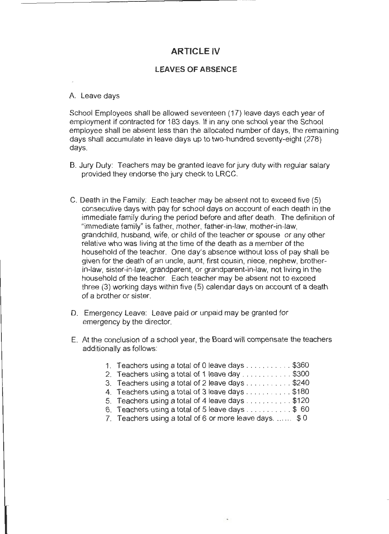## **ARTICLE IV**

#### **LEAVES OF ABSENCE**

#### A. Leave days

School Employees shall be allowed seventeen (17) leave days each year of employment if contracted for 183 days. If in any one school year the School employee shall be absent less than the allocated number of days, the remaining days shall accumulate in leave days up to two-hundred seventy-eight (278) days.

- B. Jury Duty: Teachers may be granted leave for jury duty with regular salary provided they endorse the jury check to LRCC.
- C. Death in the Family: Each teacher may be absent not to exceed five (5) consecutive days with pay for school days on account of each death in the immediate family during the period before and after death. The definition of "immediate family" is father, mother, father-in-law, mother-in-law, grandchild, husband, wife, or child of the teacher or spouse or any other relative who was living at the time of the death as a member of the household of the teacher. One day's absence without loss of pay shall be given for the death of an uncle, aunt, first cousin, niece, nephew, brotherin-law, sister-in-law, grandparent, or grandparent-in-law, not living in the household of the teacher. Each teacher may be absent not to exceed three (3) working days within five (5) calendar days on account of a death of a brother or sister.
- D. Emergency Leave: Leave paid or unpaid may be granted for emergency by the director.
- E. At the conclusion of a school year, the Board will compensate the teachers additionally as follows:

| 1. Teachers using a total of 0 leave days \$360                        |
|------------------------------------------------------------------------|
| 2. Teachers using a total of 1 leave day \$300                         |
| 3. Teachers using a total of 2 leave days \$240                        |
| 4. Teachers using a total of 3 leave days \$180                        |
| 5. Teachers using a total of 4 leave days \$120                        |
| 6. Teachers using a total of 5 leave days $\ldots \ldots \ldots$ \$ 60 |
| 7. Teachers using a total of 6 or more leave days.  \$0                |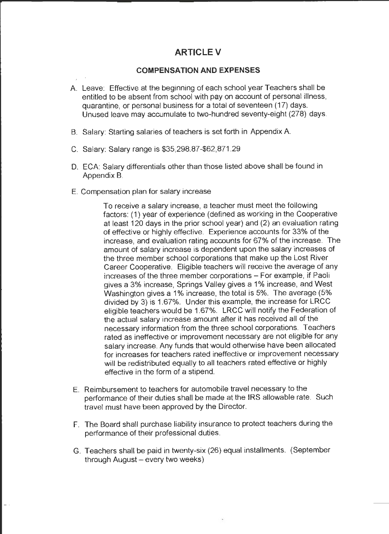## **ARTICLEV**

#### **COMPENSATION AND EXPENSES**

- A. Leave: Effective at the beginning of each school year Teachers shall be entitled to be absent from school with pay on account of personal illness, quarantine, or personal business for a total of seventeen (17) days. Unused leave may accumulate to two-hundred seventy-eight (278) days.
- B. Salary: Starting salaries of teachers is set forth in Appendix A
- C. Salary: Salary range is \$35,298.87-\$62,871.29
- D. ECA: Salary differentials other than those listed above shall be found in Appendix B.
- E. Compensation plan for salary increase

To receive a salary increase, a teacher must meet the following factors: (1) year of experience (defined as working in the Cooperative at least 120 days in the prior school year) and (2) an evaluation rating of effective or highly effective. Experience accounts for 33% of the increase, and evaluation rating accounts for 67% of the increase. The amount of salary increase is dependent upon the salary increases of the three member school corporations that make up the Lost River Career Cooperative. Eligible teachers will receive the average of any increases of the three member corporations - For example, if Paoli gives a 3% increase, Springs Valley gives a 1 % increase, and West Washington gives a 1% increase, the total is 5%. The average (5% divided by 3) is 1.67%. Under this example, the increase for LRCC eligible teachers would be 1.67%. LRCC will notify the Federation of the actual salary increase amount after it has received all of the necessary information from the three school corporations. Teachers rated as ineffective or improvement necessary are not eligible for any salary increase. Any funds that would otherwise have been allocated for increases for teachers rated ineffective or improvement necessary will be redistributed equally to all teachers rated effective or highly effective in the form of a stipend.

- E. Reimbursement to teachers for automobile travel necessary to the performance of their duties shall be made at the IRS allowable rate. Such travel must have been approved by the Director.
- F. The Board shall purchase liability insurance to protect teachers during the performance of their professional duties.
- G. Teachers shall be paid in twenty-six (26) equal installments. (September through  $August - every two weeks)$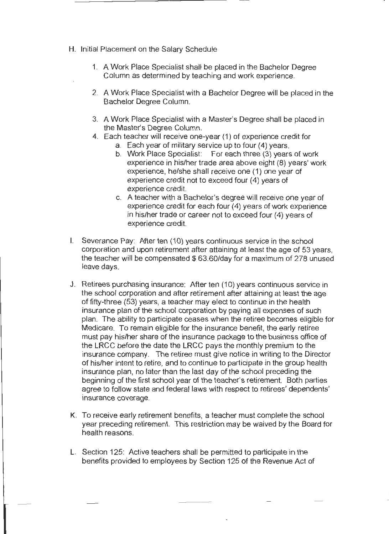- H. Initial Placement on the Salary Schedule
	- 1. A Work Place Specialist shall be placed in the Bachelor Degree Column as determined by teaching and work experience.
	- 2. A Work Place Specialist with a Bachelor Degree will be placed in the Bachelor Degree Column.
	- 3. A Work Place Specialist with a Master's Degree shall be placed in the Master's Degree Column.
	- 4. Each teacher will receive one-year (1) of experience credit for
		- a. Each year of military service up to four (4) years.
		- b. Work Place Specialist: For each three (3) years of work experience in his/her trade area above eight (8) years' work experience, he/she shall receive one (1) one year of experience credit not to exceed four (4) years of experience credit.
		- c. A teacher with a Bachelor's degree will receive one year of experience credit for each four (4) years of work experience in his/her trade or career not to exceed four (4) years of experience credit.
- I. Severance Pay: After ten (10) years continuous service in the school corporation and upon retirement after attaining at least the age of 53 years, the teacher will be compensated \$63.60/day for a maximum of 278 unused leave days.
- J. Retirees purchasing insurance: After ten (10) years continuous service in the school corporation and after retirement after attaining at least the age of fifty-three (53) years, a teacher may elect to continue in the health insurance plan of the school corporation by paying all expenses of such plan. The ability to participate ceases when the retiree becomes eligible for Medicare. To remain eligible for the insurance benefit, the early retiree must pay his/her share of the insurance package to the business office of the LRCC before the date the LRCC pays the monthly premium to the insurance company. The retiree must give notice in writing to the Director of his/her intent to retire, and to continue to participate in the group health insurance plan, no later than the last day of the school preceding the beginning of the first school year of the teacher's retirement. Both parties agree to follow state and federal laws with respect to retirees' dependents' insurance coverage.
- K. To receive early retirement benefits, a teacher must complete the school year preceding retirement. This restriction may be waived by the Board for health reasons.
- L. Section 125: Active teachers shall be permitted to participate in the benefits provided to employees by Section 125 of the Revenue Act of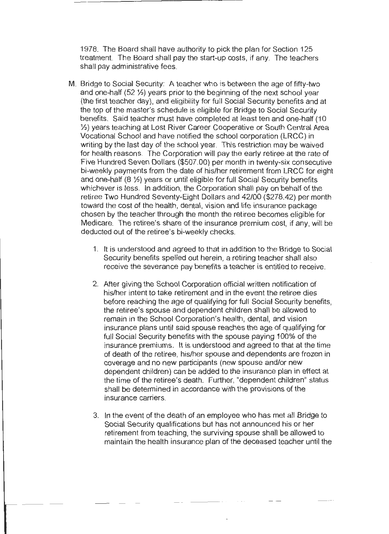1978. The Board shall have authority to pick the plan for Section 125 treatment. The Board shall pay the start-up costs, if any. The teachers shall pay administrative fees.

- M. Bridge to Social Security: A teacher who is between the age of fifty-two and one-half (52 ½) years prior to the beginning of the next school year (the first teacher day), and eligibility for full Social Security benefits and at the top of the master's schedule is eligible for Bridge to Social Security benefits. Said teacher must have completed at least ten and one-half (10 ½) years teaching at Lost River Career Cooperative or South Central Area Vocational School and have notified the school corporation (LRCC) in writing by the last day of the school year. This restriction may be waived for health reasons. The Corporation will pay the early retiree at the rate of Five Hundred Seven Dollars (\$507.00) per month in twenty-six consecutive bi-weekly payments from the date of his/her retirement from LRCC for eight and one-half (8 ½) years or until eligible for full Social Security benefits whichever is less. In addition, the Corporation shall pay on behalf of the retiree Two Hundred Seventy-Eight Dollars and 42/00 (\$278.42) per month toward the cost of the health, dental, vision and life insurance package chosen by the teacher through the month the retiree becomes eligible for Medicare. The retiree's share of the insurance premium cost, if any, will be deducted out of the retiree's bi-weekly checks.
	- 1. It is understood and agreed to that in addition to the Bridge to Social Security benefits spelled out herein, a retiring teacher shall also receive the severance pay benefits a teacher is entitled to receive.
	- 2. After giving the School Corporation official written notification of his/her intent to take retirement and in the event the retiree dies before reaching the age of qualifying for full Social Security benefits, the retiree's spouse and dependent children shall be allowed to remain in the School Corporation's health, dental, and vision insurance plans until said spouse reaches the age of qualifying for full Social Security benefits with the spouse paying 100% of the insurance premiums. It is understood and agreed to that at the time of death of the retiree, his/her spouse and dependents are frozen in coverage and no new participants (new spouse and/or new dependent children) can be added to the insurance plan in effect at the time of the retiree's death. Further, "dependent children" status shall be determined in accordance with the provisions of the insurance carriers.
	- 3. In the event of the death of an employee who has met all Bridge to Social Security qualifications but has not announced his or her retirement from teaching, the surviving spouse shall be allowed to maintain the health insurance plan of the deceased teacher until the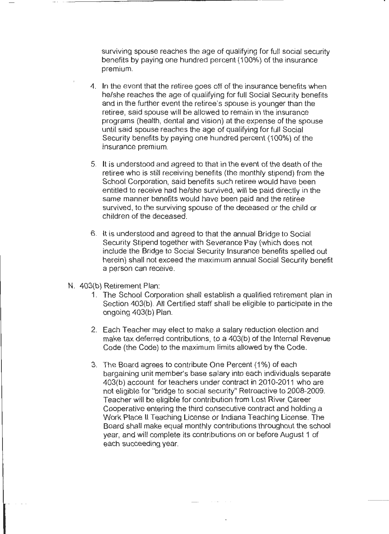surviving spouse reaches the age of qualifying for full social security benefits by paying one hundred percent (100%) of the insurance premium.

- 4. In the event that the retiree goes off of the insurance benefits when he/she reaches the age of qualifying for full Social Security benefits and in the further event the retiree's spouse is younger than the retiree, said spouse will be allowed to remain in the insurance programs (health, dental and vision) at the expense of the spouse until said spouse reaches the age of qualifying for full Social Security benefits by paying one hundred percent (100%) of the insurance premium.
- 5. It is understood and agreed to that in the event of the death of the retiree who is still receiving benefits (the monthly stipend) from the School Corporation, said benefits such retiree would have been entitled to receive had he/she survived, will be paid directly in the same manner benefits would have been paid and the retiree survived, to the surviving spouse of the deceased or the child or children of the deceased.
- 6. It is understood and agreed to that the annual Bridge to Social Security Stipend together with Severance Pay (which does not include the Bridge to Social Security Insurance benefits spelled out herein) shall not exceed the maximum annual Social Security benefit a person can receive.
- N. 403(b) Retirement Plan:
	- 1. The School Corporation shall establish a qualified retirement plan in Section 403(b). All Certified staff shall be eligible to participate in the ongoing 403(b) Plan.
	- 2. Each Teacher may elect to make a salary reduction election and make tax deferred contributions, to a 403(b) of the Internal Revenue Code (the Code) to the maximum limits allowed by the Code.
	- 3. The Board agrees to contribute One Percent (1%) of each bargaining unit member's base salary into each individuals separate 403(b) account for teachers under contract in 2010-2011 who are not eligible for "bridge to social security" Retroactive to 2008-2009. Teacher will be eligible for contribution from Lost River. Career Cooperative entering the third consecutive contract and holding a Work Place II Teaching License or Indiana Teaching License. The Board shall make equal monthly contributions throughout the school year, and will complete its contributions on or before August 1 of each succeeding year.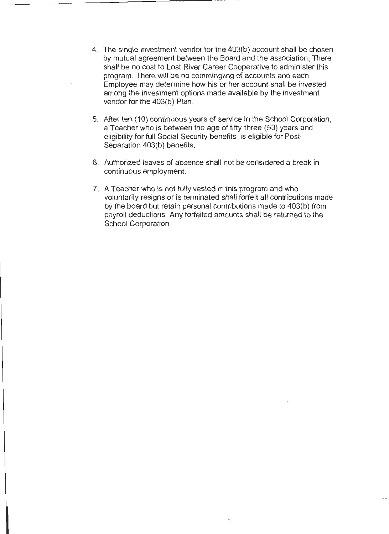- 4. The single investment vendor for the 403(b) account shall be chosen by mutual agreement between the Board and the association, There shall be no cost to Lost River Career Cooperative to administer this program. There will be no commingling of accounts and each Employee may determine how his or her account shall be invested among the investment options made available by the investment vendor for the 403(b) Plan.
- 5. After ten (10) continuous years of service in the School Corporation, a Teacher who is between the age of fifty-three (53) years and eligibility for full Social Security benefits is eligible for Post-Separation 403(b) benefits.
- 6. Authorized leaves of absence shall not be considered a break in continuous employment.
- 7. A Teacher who is not fully vested in this program and who voluntarily resigns or is terminated shall forfeit all contributions made by the board but retain personal contributions made to 403(b) from payroll deductions. Any forfeited amounts shall be returned to the School Corporation.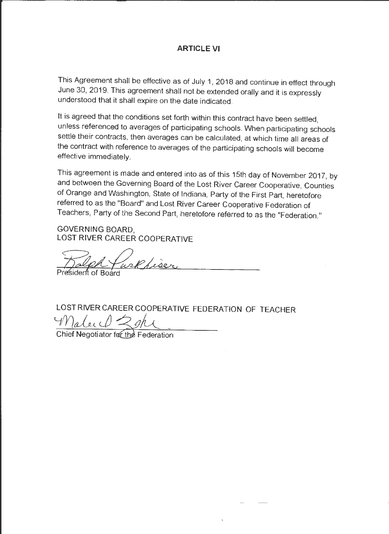## **ARTICLE VI**

This Agreement shall be effective as of July 1, 2018 and continue in effect through June 30, 2019. This agreement shall not be extended orally and it is expressly understood that it shall expire on the date indicated.

It is agreed that the conditions set forth within this contract have been settled, unless referenced to averages of participating schools. When participating schools settle their contracts, then averages can be calculated, at which time all areas of the contract with reference to averages of the participating schools will become effective immediately.

This agreement is made and entered into as of this 15th day of November 2017, by and between the Governing Board of the Lost River Career Cooperative, Counties of Orange and Washington, State of Indiana, Party of the First Part, heretofore referred to as the "Board" and Lost River Career Cooperative Federation of Teachers, Party of the Second Part, heretofore referred to as the "Federation."

**GOVERNING** BOARD, LOST RIVER CAREER COOPERATIVE

welk hiser

sident of Board

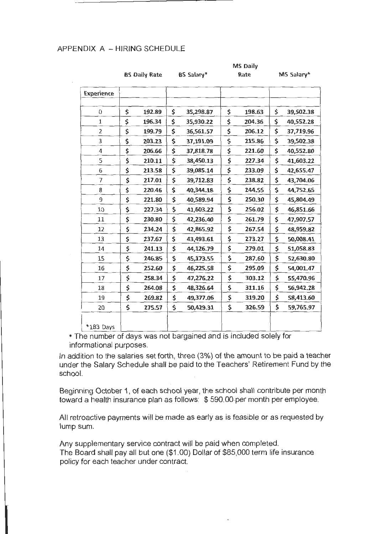#### APPENDIX A - HIRING SCHEDULE

|  | <b>BS Daily Rate</b> |  |  | BS Salary* |
|--|----------------------|--|--|------------|
|--|----------------------|--|--|------------|

**MS Salary\*** 

**MS Daily Rate** 

| <b>Experience</b> |              |                 |              |     |           |
|-------------------|--------------|-----------------|--------------|-----|-----------|
|                   |              |                 |              |     |           |
| 0                 | \$<br>192.89 | \$<br>35,298.87 | \$<br>198.63 | \$  | 39,502.38 |
| $\mathbf 1$       | \$<br>196.34 | \$<br>35,930.22 | \$<br>204.36 | \$  | 40,552.28 |
| $\overline{2}$    | \$<br>199.79 | \$<br>36,561.57 | \$<br>206.12 | \$  | 37,719.96 |
| 3                 | \$<br>203.23 | \$<br>37,191.09 | \$<br>215.86 | \$  | 39,502.38 |
| 4                 | \$<br>206.66 | \$<br>37,818.78 | \$<br>221.60 | \$. | 40,552.80 |
| 5                 | \$<br>210.11 | \$<br>38,450.13 | \$<br>227.34 | \$. | 41,603.22 |
| 6                 | \$<br>213.58 | \$<br>39,085.14 | \$<br>233.09 | \$. | 42,655.47 |
| $\overline{7}$    | \$<br>217.01 | \$<br>39,712.83 | \$<br>238.82 | \$  | 43,704.06 |
| 8                 | \$<br>220.46 | \$<br>40,344.18 | \$<br>244.55 | \$. | 44,752.65 |
| 9                 | \$<br>221.80 | \$<br>40,589.94 | \$<br>250.30 | \$. | 45,804.49 |
| 10                | \$<br>227.34 | \$<br>41,603.22 | \$<br>256.02 | \$  | 46,851.66 |
| 11                | \$<br>230.80 | \$<br>42,236.40 | \$<br>261.79 | \$. | 47,907.57 |
| 12                | \$<br>234.24 | \$<br>42,865.92 | \$<br>267.54 | \$. | 48,959.82 |
| 13                | \$<br>237.67 | \$<br>43,493.61 | \$<br>273.27 | \$  | 50,008.41 |
| 14                | \$<br>241.13 | \$<br>44,126.79 | \$<br>279.01 | \$  | 51,058.83 |
| 15                | \$<br>246.85 | \$<br>45,173.55 | \$<br>287.60 | \$  | 52,630.80 |
| 16                | \$<br>252.60 | \$<br>46,225.58 | \$<br>295.09 | \$  | 54,001.47 |
| 17                | \$<br>258.34 | \$<br>47,276.22 | \$<br>303.12 | \$  | 55,470.96 |
| 18                | \$<br>264.08 | \$<br>48,326.64 | \$<br>311.16 | \$  | 56,942.28 |
| 19                | \$<br>269.82 | \$<br>49,377.06 | \$<br>319.20 | \$  | 58,413.60 |
| 20                | \$<br>275.57 | \$<br>50,429.31 | \$<br>326.59 | \$  | 59,765.97 |
|                   |              |                 |              |     |           |
| *183 Days         |              |                 |              |     |           |

\* The number of days was not bargained and is included solely for informational purposes.

In addition to the salaries set forth, three (3%) of the amount to be paid a teacher under the Salary Schedule shall be paid to the Teachers' Retirement Fund by the school.

Beginning October 1, of each school year, the school shall contribute per month toward a health insurance plan as follows: \$ 590.00-per month per employee.

All retroactive payments will be made as early as is feasible or as requested by lump sum.

Any supplementary service contract will be paid when completed. The Board shall pay all but one (\$1 .00) Dollar of \$85,000 term life insurance policy for each teacher under contract.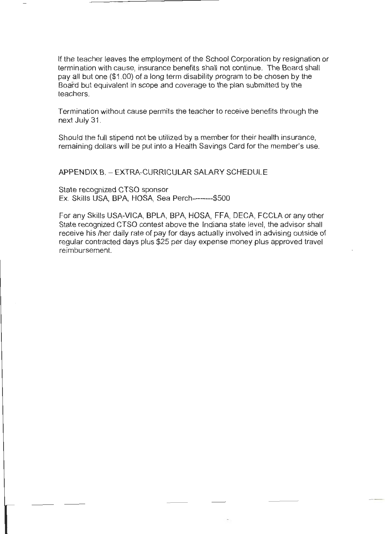If the teacher leaves the employment of the School Corporation by resignation or termination with cause, insurance benefits shall not continue. The Board shall pay all but one (\$1.00) of a long term disability program to be chosen by the Board but equivalent in scope and coverage to the plan submitted by the teachers.

Termination without cause permits the teacher to receive benefits through the next July 31.

Should the full stipend not be utilized by a member for their health insurance, remaining dollars will be put into a Health Savings Card for the member's use.

APPENDIX B. - EXTRA-CURRICULAR SALARY SCHEDULE

State recognized CTSO sponsor Ex. Skills USA, BPA, HOSA, Sea Perch--------\$500

For any Skills USA-VICA, BPLA, BPA, HOSA, FFA, DECA, FCCLA or any other State recognized CTSO contest above the Indiana state level, the advisor shall receive his /her daily rate of pay for days actually involved in advising outside of regular contracted days plus \$25 per day expense money plus approved travel reimbursement.